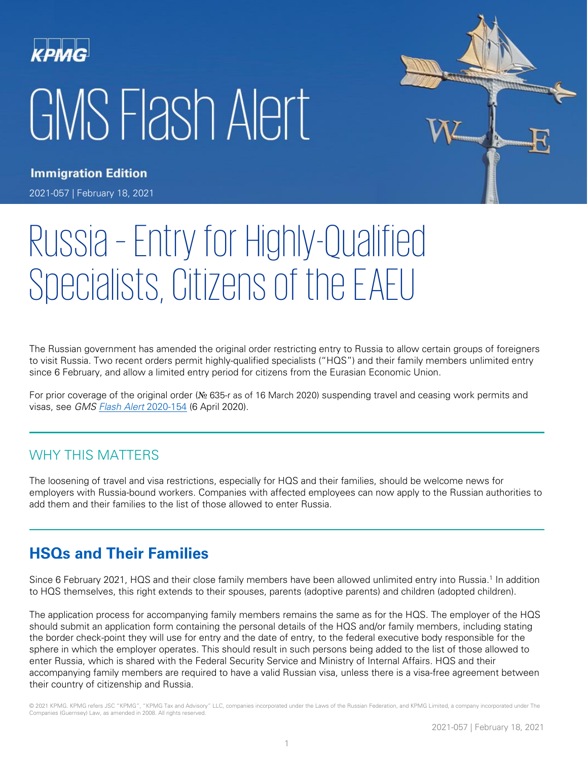# GMS Flash Alert



**Immigration Edition** 

2021-057 | February 18, 2021

# Russia – Entry for Highly-Qualified Specialists, Citizens of the EAEU

The Russian government has amended the original order restricting entry to Russia to allow certain groups of foreigners to visit Russia. Two recent orders permit highly-qualified specialists ("HQS") and their family members unlimited entry since 6 February, and allow a limited entry period for citizens from the Eurasian Economic Union.

For prior coverage of the original order (№ 635-r as of 16 March 2020) suspending travel and ceasing work permits and visas, see GMS [Flash Alert](https://home.kpmg/xx/en/home/insights/2020/04/flash-alert-2020-154.html) 2020-154 (6 April 2020).

## WHY THIS MATTERS

The loosening of travel and visa restrictions, especially for HQS and their families, should be welcome news for employers with Russia-bound workers. Companies with affected employees can now apply to the Russian authorities to add them and their families to the list of those allowed to enter Russia.

# **HSQs and Their Families**

Since 6 February 2021, HQS and their close family members have been allowed unlimited entry into Russia.<sup>1</sup> In addition to HQS themselves, this right extends to their spouses, parents (adoptive parents) and children (adopted children).

The application process for accompanying family members remains the same as for the HQS. The employer of the HQS should submit an application form containing the personal details of the HQS and/or family members, including stating the border check-point they will use for entry and the date of entry, to the federal executive body responsible for the sphere in which the employer operates. This should result in such persons being added to the list of those allowed to enter Russia, which is shared with the Federal Security Service and Ministry of Internal Affairs. HQS and their accompanying family members are required to have a valid Russian visa, unless there is a visa-free agreement between their country of citizenship and Russia.

© 2021 KPMG. KPMG refers JSC "KPMG", "KPMG Tax and Advisory" LLC, companies incorporated under the Laws of the Russian Federation, and KPMG Limited, a company incorporated under The Companies (Guernsey) Law, as amended in 2008. All rights reserved.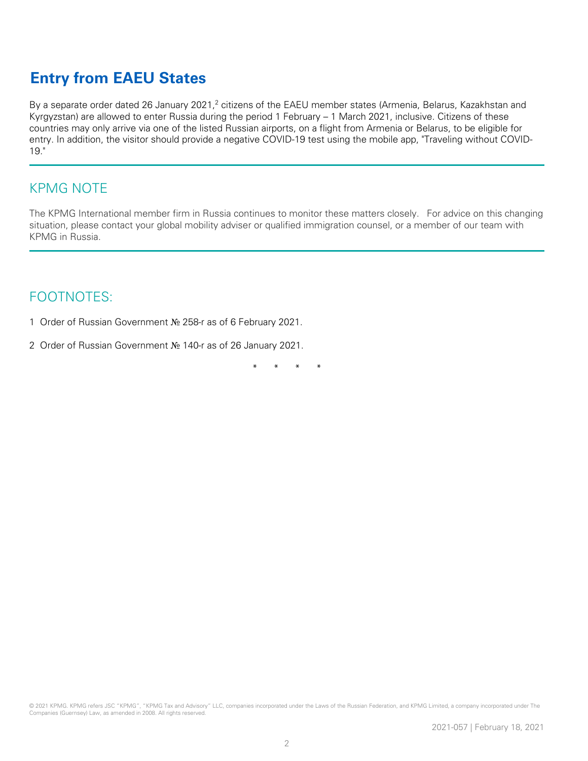# **Entry from EAEU States**

By a separate order dated 26 January 2021,<sup>2</sup> citizens of the EAEU member states (Armenia, Belarus, Kazakhstan and Kyrgyzstan) are allowed to enter Russia during the period 1 February – 1 March 2021, inclusive. Citizens of these countries may only arrive via one of the listed Russian airports, on a flight from Armenia or Belarus, to be eligible for entry. In addition, the visitor should provide a negative COVID-19 test using the mobile app, "Traveling without COVID-19."

#### KPMG NOTE

The KPMG International member firm in Russia continues to monitor these matters closely. For advice on this changing situation, please contact your global mobility adviser or qualified immigration counsel, or a member of our team with KPMG in Russia.

### FOOTNOTES:

- 1 Order of Russian Government № 258-r as of 6 February 2021.
- 2 Order of Russian Government № 140-r as of 26 January 2021.

\* \* \* \*

© 2021 KPMG. KPMG refers JSC "KPMG", "KPMG Tax and Advisory" LLC, companies incorporated under the Laws of the Russian Federation, and KPMG Limited, a company incorporated under The Companies (Guernsey) Law, as amended in 2008. All rights reserved.